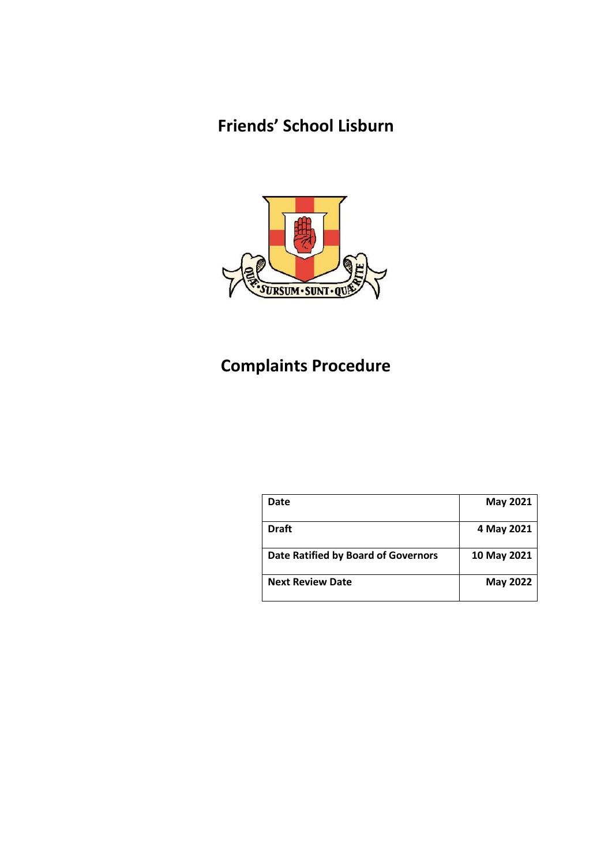## **Friends' School Lisburn**



# **Complaints Procedure**

| Date                                       | May 2021        |
|--------------------------------------------|-----------------|
| <b>Draft</b>                               | 4 May 2021      |
| <b>Date Ratified by Board of Governors</b> | 10 May 2021     |
| <b>Next Review Date</b>                    | <b>May 2022</b> |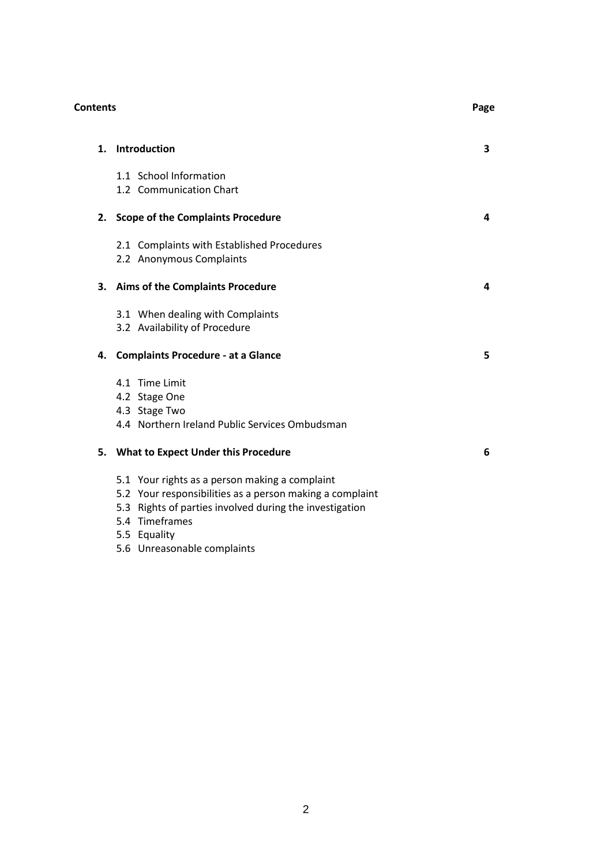|                | <b>Contents</b>                                                                                                                                                                                         |                         |
|----------------|---------------------------------------------------------------------------------------------------------------------------------------------------------------------------------------------------------|-------------------------|
| $\mathbf{1}$ . | <b>Introduction</b>                                                                                                                                                                                     | $\overline{\mathbf{3}}$ |
|                | 1.1 School Information<br>1.2 Communication Chart                                                                                                                                                       |                         |
|                | 2. Scope of the Complaints Procedure                                                                                                                                                                    | 4                       |
|                | 2.1 Complaints with Established Procedures<br>2.2 Anonymous Complaints                                                                                                                                  |                         |
| 3.             | <b>Aims of the Complaints Procedure</b>                                                                                                                                                                 | 4                       |
|                | 3.1 When dealing with Complaints<br>3.2 Availability of Procedure                                                                                                                                       |                         |
| 4.             | <b>Complaints Procedure - at a Glance</b>                                                                                                                                                               | 5                       |
|                | 4.1 Time Limit<br>4.2 Stage One<br>4.3 Stage Two<br>4.4 Northern Ireland Public Services Ombudsman                                                                                                      |                         |
|                | 5. What to Expect Under this Procedure                                                                                                                                                                  | 6                       |
|                | 5.1 Your rights as a person making a complaint<br>5.2 Your responsibilities as a person making a complaint<br>5.3 Rights of parties involved during the investigation<br>5.4 Timeframes<br>5.5 Equality |                         |
|                |                                                                                                                                                                                                         |                         |

5.6 Unreasonable complaints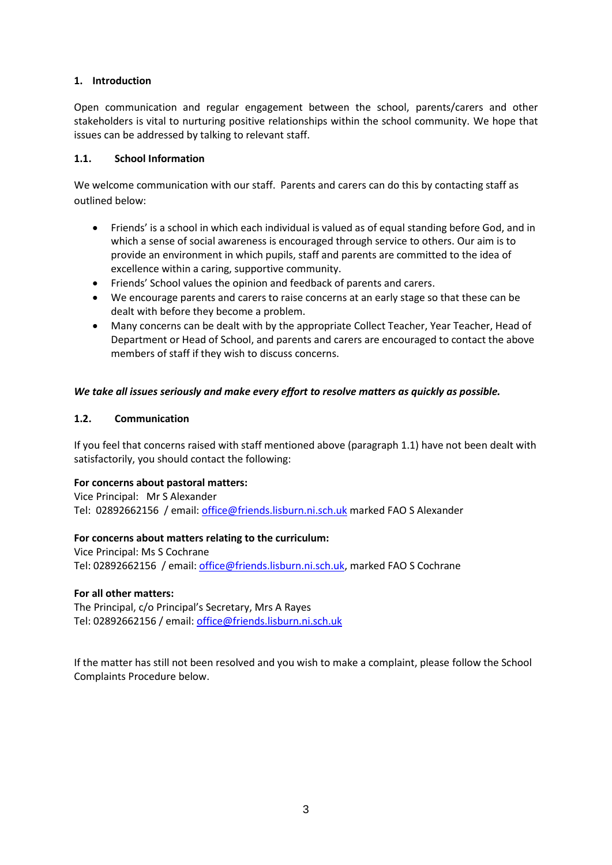## **1. Introduction**

Open communication and regular engagement between the school, parents/carers and other stakeholders is vital to nurturing positive relationships within the school community. We hope that issues can be addressed by talking to relevant staff.

#### **1.1. School Information**

We welcome communication with our staff. Parents and carers can do this by contacting staff as outlined below:

- Friends' is a school in which each individual is valued as of equal standing before God, and in which a sense of social awareness is encouraged through service to others. Our aim is to provide an environment in which pupils, staff and parents are committed to the idea of excellence within a caring, supportive community.
- Friends' School values the opinion and feedback of parents and carers.
- We encourage parents and carers to raise concerns at an early stage so that these can be dealt with before they become a problem.
- Many concerns can be dealt with by the appropriate Collect Teacher, Year Teacher, Head of Department or Head of School, and parents and carers are encouraged to contact the above members of staff if they wish to discuss concerns.

## *We take all issues seriously and make every effort to resolve matters as quickly as possible.*

#### **1.2. Communication**

If you feel that concerns raised with staff mentioned above (paragraph 1.1) have not been dealt with satisfactorily, you should contact the following:

#### **For concerns about pastoral matters:**

Vice Principal: Mr S Alexander Tel: 02892662156 / email: [office@friends.lisburn.ni.sch.uk](mailto:office@friends.lisburn.ni.sch.uk) marked FAO S Alexander

#### **For concerns about matters relating to the curriculum:**

Vice Principal: Ms S Cochrane Tel: 02892662156 / email: [office@friends.lisburn.ni.sch.uk,](mailto:office@friends.lisburn.ni.sch.uk) marked FAO S Cochrane

#### **For all other matters:**

The Principal, c/o Principal's Secretary, Mrs A Rayes Tel: 02892662156 / email: [office@friends.lisburn.ni.sch.uk](mailto:office@friends.lisburn.ni.sch.uk)

If the matter has still not been resolved and you wish to make a complaint, please follow the School Complaints Procedure below.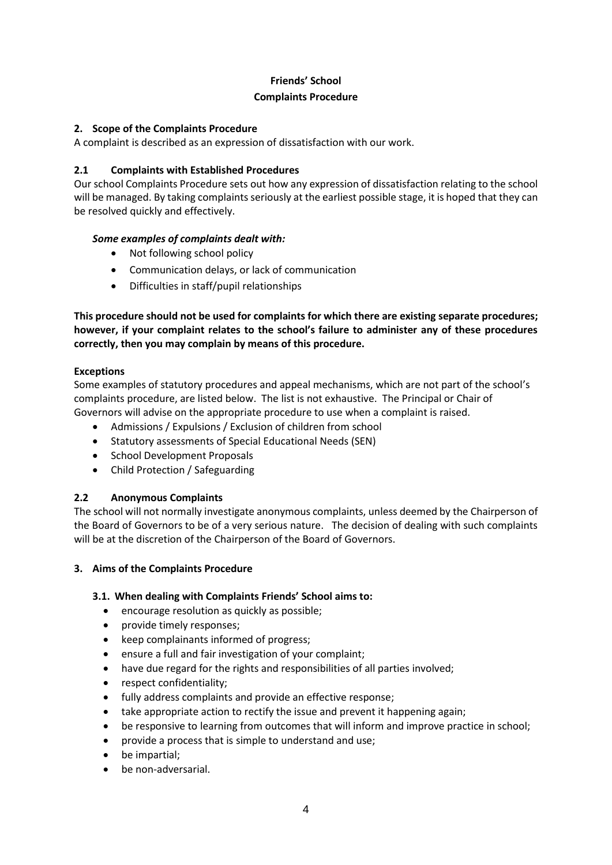## **Friends' School**

#### **Complaints Procedure**

## **2. Scope of the Complaints Procedure**

A complaint is described as an expression of dissatisfaction with our work.

## **2.1 Complaints with Established Procedures**

Our school Complaints Procedure sets out how any expression of dissatisfaction relating to the school will be managed. By taking complaints seriously at the earliest possible stage, it is hoped that they can be resolved quickly and effectively.

## *Some examples of complaints dealt with:*

- Not following school policy
- Communication delays, or lack of communication
- Difficulties in staff/pupil relationships

**This procedure should not be used for complaints for which there are existing separate procedures; however, if your complaint relates to the school's failure to administer any of these procedures correctly, then you may complain by means of this procedure.**

#### **Exceptions**

Some examples of statutory procedures and appeal mechanisms, which are not part of the school's complaints procedure, are listed below. The list is not exhaustive. The Principal or Chair of Governors will advise on the appropriate procedure to use when a complaint is raised.

- Admissions / Expulsions / Exclusion of children from school
- Statutory assessments of Special Educational Needs (SEN)
- School Development Proposals
- Child Protection / Safeguarding

## **2.2 Anonymous Complaints**

The school will not normally investigate anonymous complaints, unless deemed by the Chairperson of the Board of Governors to be of a very serious nature. The decision of dealing with such complaints will be at the discretion of the Chairperson of the Board of Governors.

#### **3. Aims of the Complaints Procedure**

## **3.1. When dealing with Complaints Friends' School aims to:**

- encourage resolution as quickly as possible;
- provide timely responses:
- keep complainants informed of progress;
- ensure a full and fair investigation of your complaint;
- have due regard for the rights and responsibilities of all parties involved;
- respect confidentiality:
- fully address complaints and provide an effective response;
- take appropriate action to rectify the issue and prevent it happening again;
- be responsive to learning from outcomes that will inform and improve practice in school;
- provide a process that is simple to understand and use;
- be impartial;
- be non-adversarial.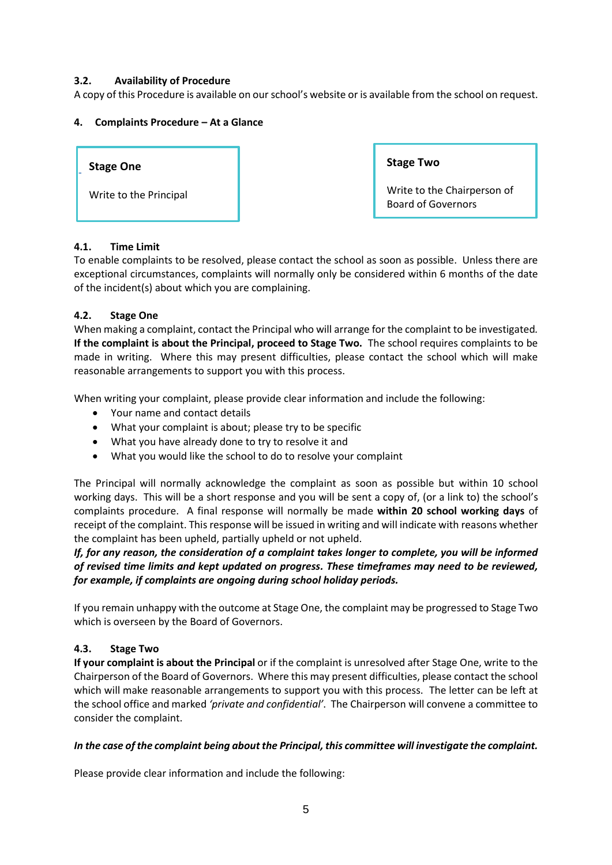## **3.2. Availability of Procedure**

A copy of this Procedure is available on our school's website or is available from the school on request.

#### **4. Complaints Procedure – At a Glance**



#### **4.1. Time Limit**

To enable complaints to be resolved, please contact the school as soon as possible. Unless there are exceptional circumstances, complaints will normally only be considered within 6 months of the date of the incident(s) about which you are complaining.

#### **4.2. Stage One**

When making a complaint, contact the Principal who will arrange for the complaint to be investigated*.* **If the complaint is about the Principal, proceed to Stage Two.** The school requires complaints to be made in writing. Where this may present difficulties, please contact the school which will make reasonable arrangements to support you with this process.

When writing your complaint, please provide clear information and include the following:

- Your name and contact details
- What your complaint is about; please try to be specific
- What you have already done to try to resolve it and
- What you would like the school to do to resolve your complaint

The Principal will normally acknowledge the complaint as soon as possible but within 10 school working days. This will be a short response and you will be sent a copy of, (or a link to) the school's complaints procedure. A final response will normally be made **within 20 school working days** of receipt of the complaint. This response will be issued in writing and will indicate with reasons whether the complaint has been upheld, partially upheld or not upheld.

*If, for any reason, the consideration of a complaint takes longer to complete, you will be informed of revised time limits and kept updated on progress. These timeframes may need to be reviewed, for example, if complaints are ongoing during school holiday periods.*

If you remain unhappy with the outcome at Stage One, the complaint may be progressed to Stage Two which is overseen by the Board of Governors.

## **4.3. Stage Two**

**If your complaint is about the Principal** or if the complaint is unresolved after Stage One, write to the Chairperson of the Board of Governors. Where this may present difficulties, please contact the school which will make reasonable arrangements to support you with this process. The letter can be left at the school office and marked *'private and confidential'*.The Chairperson will convene a committee to consider the complaint.

#### *In the case of the complaint being about the Principal, this committee will investigate the complaint.*

Please provide clear information and include the following: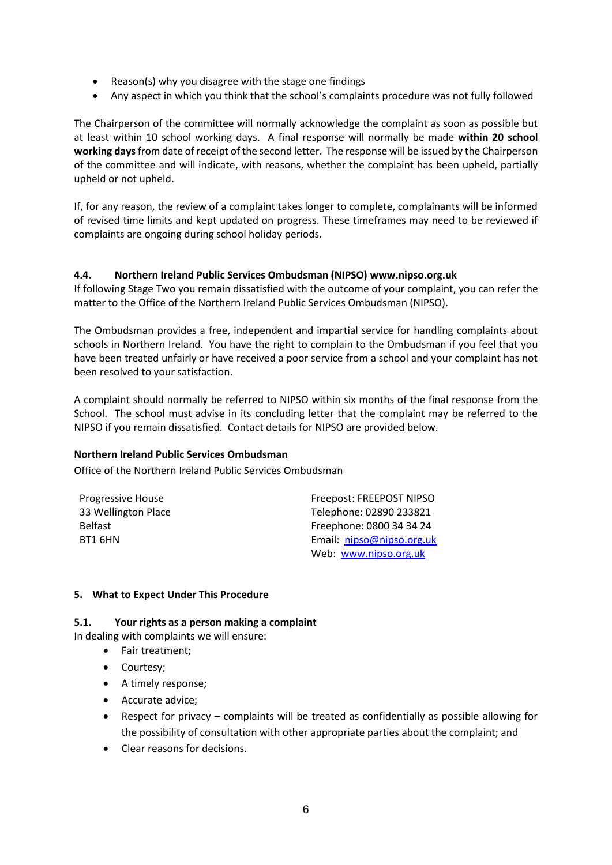- Reason(s) why you disagree with the stage one findings
- Any aspect in which you think that the school's complaints procedure was not fully followed

The Chairperson of the committee will normally acknowledge the complaint as soon as possible but at least within 10 school working days. A final response will normally be made **within 20 school working days**from date of receipt of the second letter. The response will be issued by the Chairperson of the committee and will indicate, with reasons, whether the complaint has been upheld, partially upheld or not upheld.

If, for any reason, the review of a complaint takes longer to complete, complainants will be informed of revised time limits and kept updated on progress. These timeframes may need to be reviewed if complaints are ongoing during school holiday periods.

#### **4.4. Northern Ireland Public Services Ombudsman (NIPSO) www.nipso.org.uk**

If following Stage Two you remain dissatisfied with the outcome of your complaint, you can refer the matter to the Office of the Northern Ireland Public Services Ombudsman (NIPSO).

The Ombudsman provides a free, independent and impartial service for handling complaints about schools in Northern Ireland. You have the right to complain to the Ombudsman if you feel that you have been treated unfairly or have received a poor service from a school and your complaint has not been resolved to your satisfaction.

A complaint should normally be referred to NIPSO within six months of the final response from the School. The school must advise in its concluding letter that the complaint may be referred to the NIPSO if you remain dissatisfied. Contact details for NIPSO are provided below.

#### **Northern Ireland Public Services Ombudsman**

Office of the Northern Ireland Public Services Ombudsman

| Progressive House   | Freepost: FREEPOST NIPSO  |
|---------------------|---------------------------|
| 33 Wellington Place | Telephone: 02890 233821   |
| <b>Belfast</b>      | Freephone: 0800 34 34 24  |
| BT1 6HN             | Email: nipso@nipso.org.uk |
|                     | Web: www.nipso.org.uk     |

#### **5. What to Expect Under This Procedure**

#### **5.1. Your rights as a person making a complaint**

In dealing with complaints we will ensure:

- Fair treatment:
- Courtesy;
- A timely response;
- **•** Accurate advice;
- Respect for privacy complaints will be treated as confidentially as possible allowing for the possibility of consultation with other appropriate parties about the complaint; and
- Clear reasons for decisions.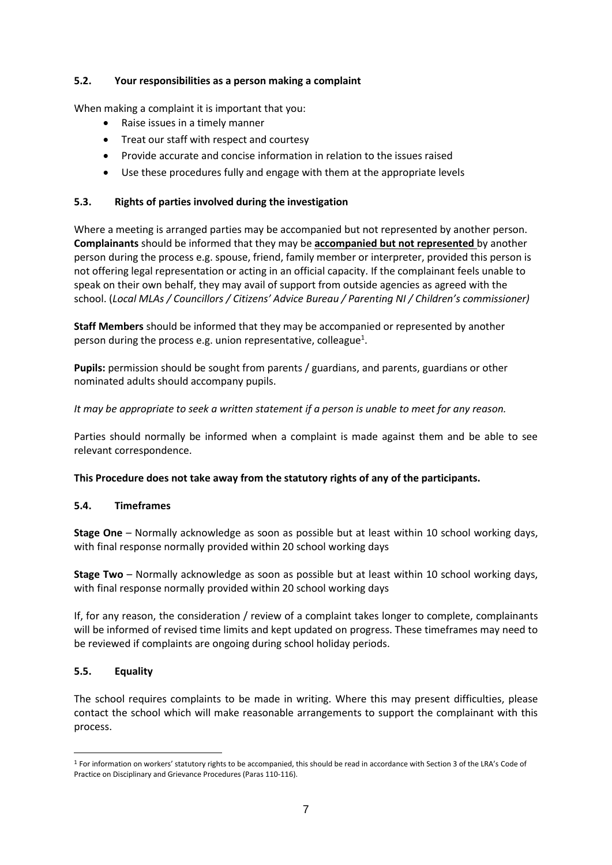## **5.2. Your responsibilities as a person making a complaint**

When making a complaint it is important that you:

- Raise issues in a timely manner
- Treat our staff with respect and courtesy
- Provide accurate and concise information in relation to the issues raised
- Use these procedures fully and engage with them at the appropriate levels

## **5.3. Rights of parties involved during the investigation**

Where a meeting is arranged parties may be accompanied but not represented by another person. **Complainants** should be informed that they may be **accompanied but not represented** by another person during the process e.g. spouse, friend, family member or interpreter, provided this person is not offering legal representation or acting in an official capacity. If the complainant feels unable to speak on their own behalf, they may avail of support from outside agencies as agreed with the school. (*Local MLAs / Councillors / Citizens' Advice Bureau / Parenting NI / Children's commissioner)*

**Staff Members** should be informed that they may be accompanied or represented by another person during the process e.g. union representative, colleague<sup>1</sup>.

**Pupils:** permission should be sought from parents / guardians, and parents, guardians or other nominated adults should accompany pupils.

*It may be appropriate to seek a written statement if a person is unable to meet for any reason.*

Parties should normally be informed when a complaint is made against them and be able to see relevant correspondence.

**This Procedure does not take away from the statutory rights of any of the participants.**

#### **5.4. Timeframes**

**Stage One** – Normally acknowledge as soon as possible but at least within 10 school working days, with final response normally provided within 20 school working days

**Stage Two** – Normally acknowledge as soon as possible but at least within 10 school working days, with final response normally provided within 20 school working days

If, for any reason, the consideration / review of a complaint takes longer to complete, complainants will be informed of revised time limits and kept updated on progress. These timeframes may need to be reviewed if complaints are ongoing during school holiday periods.

#### **5.5. Equality**

-

The school requires complaints to be made in writing. Where this may present difficulties, please contact the school which will make reasonable arrangements to support the complainant with this process.

<sup>&</sup>lt;sup>1</sup> For information on workers' statutory rights to be accompanied, this should be read in accordance with Section 3 of the LRA's Code of Practice on Disciplinary and Grievance Procedures (Paras 110-116).